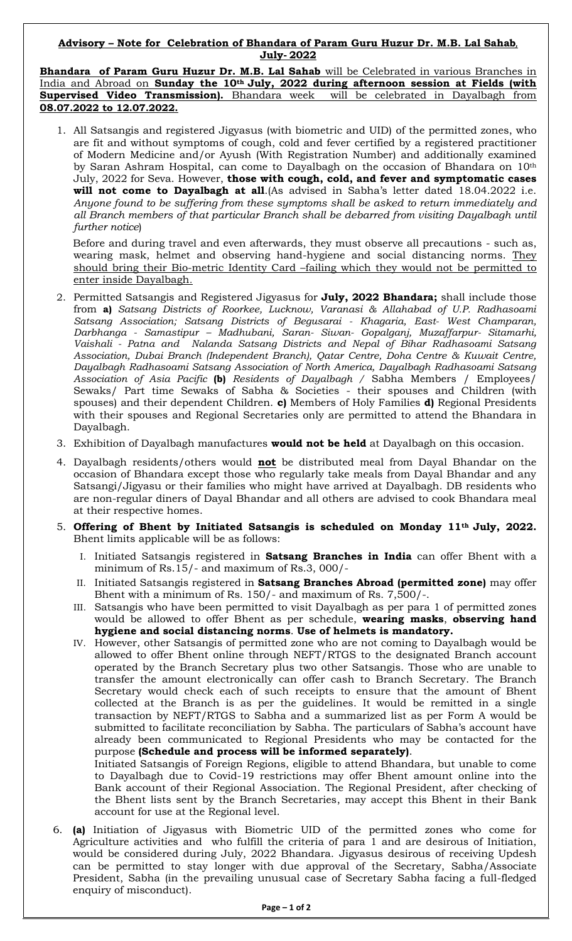## **Advisory – Note for Celebration of Bhandara of Param Guru Huzur Dr. M.B. Lal Sahab**, **July- 2022**

**Bhandara of Param Guru Huzur Dr. M.B. Lal Sahab** will be Celebrated in various Branches in India and Abroad on **Sunday the 10th July, 2022 during afternoon session at Fields (with Supervised Video Transmission).** Bhandara week will be celebrated in Dayalbagh from **08.07.2022 to 12.07.2022.**

1. All Satsangis and registered Jigyasus (with biometric and UID) of the permitted zones, who are fit and without symptoms of cough, cold and fever certified by a registered practitioner of Modern Medicine and/or Ayush (With Registration Number) and additionally examined by Saran Ashram Hospital, can come to Dayalbagh on the occasion of Bhandara on 10th July, 2022 for Seva. However, **those with cough, cold, and fever and symptomatic cases will not come to Dayalbagh at all**.(As advised in Sabha's letter dated 18.04.2022 i.e. *Anyone found to be suffering from these symptoms shall be asked to return immediately and all Branch members of that particular Branch shall be debarred from visiting Dayalbagh until further notice*)

 Before and during travel and even afterwards, they must observe all precautions - such as, wearing mask, helmet and observing hand-hygiene and social distancing norms. They should bring their Bio-metric Identity Card –failing which they would not be permitted to enter inside Dayalbagh.

- 2. Permitted Satsangis and Registered Jigyasus for **July, 2022 Bhandara;** shall include those from **a)** *Satsang Districts of Roorkee, Lucknow, Varanasi & Allahabad of U.P. Radhasoami Satsang Association; Satsang Districts of Begusarai - Khagaria, East- West Champaran, Darbhanga - Samastipur – Madhubani, Saran- Siwan- Gopalganj, Muzaffarpur- Sitamarhi, Vaishali - Patna and Nalanda Satsang Districts and Nepal of Bihar Radhasoami Satsang Association, Dubai Branch (Independent Branch), Qatar Centre, Doha Centre & Kuwait Centre, Dayalbagh Radhasoami Satsang Association of North America, Dayalbagh Radhasoami Satsang Association of Asia Pacific* **(b)** *Residents of Dayalbagh /* Sabha Members / Employees/ Sewaks/ Part time Sewaks of Sabha & Societies - their spouses and Children (with spouses) and their dependent Children. **c)** Members of Holy Families **d)** Regional Presidents with their spouses and Regional Secretaries only are permitted to attend the Bhandara in Dayalbagh.
- 3. Exhibition of Dayalbagh manufactures **would not be held** at Dayalbagh on this occasion.
- 4. Dayalbagh residents/others would **not** be distributed meal from Dayal Bhandar on the occasion of Bhandara except those who regularly take meals from Dayal Bhandar and any Satsangi/Jigyasu or their families who might have arrived at Dayalbagh. DB residents who are non-regular diners of Dayal Bhandar and all others are advised to cook Bhandara meal at their respective homes.
- 5. **Offering of Bhent by Initiated Satsangis is scheduled on Monday 11th July, 2022.**  Bhent limits applicable will be as follows:
	- I. Initiated Satsangis registered in **Satsang Branches in India** can offer Bhent with a minimum of Rs.15/- and maximum of Rs.3, 000/-
	- II. Initiated Satsangis registered in **Satsang Branches Abroad (permitted zone)** may offer Bhent with a minimum of Rs. 150/- and maximum of Rs. 7,500/-.
	- III. Satsangis who have been permitted to visit Dayalbagh as per para 1 of permitted zones would be allowed to offer Bhent as per schedule, **wearing masks**, **observing hand hygiene and social distancing norms**. **Use of helmets is mandatory.**
	- IV. However, other Satsangis of permitted zone who are not coming to Dayalbagh would be allowed to offer Bhent online through NEFT/RTGS to the designated Branch account operated by the Branch Secretary plus two other Satsangis. Those who are unable to transfer the amount electronically can offer cash to Branch Secretary. The Branch Secretary would check each of such receipts to ensure that the amount of Bhent collected at the Branch is as per the guidelines. It would be remitted in a single transaction by NEFT/RTGS to Sabha and a summarized list as per Form A would be submitted to facilitate reconciliation by Sabha. The particulars of Sabha's account have already been communicated to Regional Presidents who may be contacted for the purpose **(Schedule and process will be informed separately)**. Initiated Satsangis of Foreign Regions, eligible to attend Bhandara, but unable to come

to Dayalbagh due to Covid-19 restrictions may offer Bhent amount online into the Bank account of their Regional Association. The Regional President, after checking of the Bhent lists sent by the Branch Secretaries, may accept this Bhent in their Bank account for use at the Regional level.

6. **(a)** Initiation of Jigyasus with Biometric UID of the permitted zones who come for Agriculture activities and who fulfill the criteria of para 1 and are desirous of Initiation, would be considered during July, 2022 Bhandara. Jigyasus desirous of receiving Updesh can be permitted to stay longer with due approval of the Secretary, Sabha/Associate President, Sabha (in the prevailing unusual case of Secretary Sabha facing a full-fledged enquiry of misconduct).